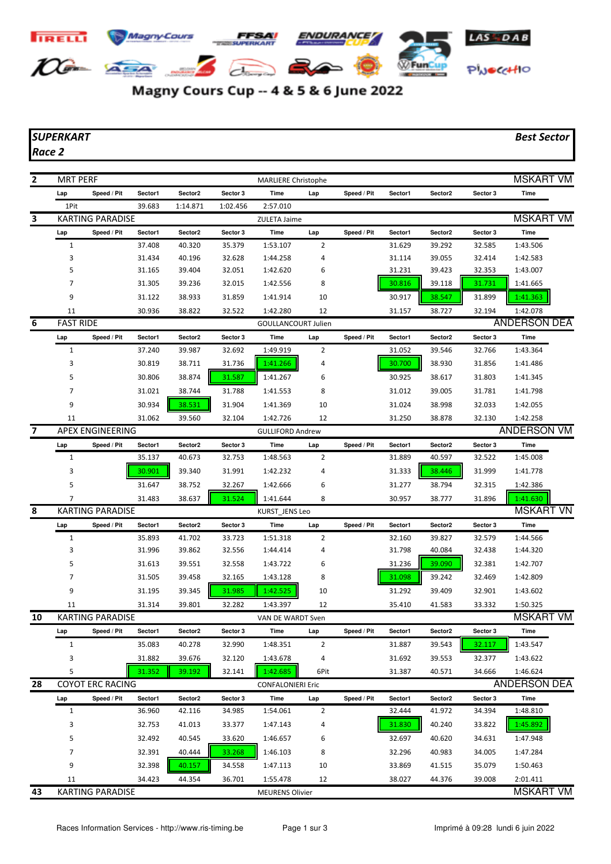

Magny Cours Cup -- 4 & 5 & 6 June 2022

## *SUPERKART Best Sector*

*Race 2*

| 2  | <b>MRT PERF</b>  |                         |         |          |          | <b>MARLIERE Christophe</b> |                |             |         |         |          | <b>MSKART VM</b>    |  |
|----|------------------|-------------------------|---------|----------|----------|----------------------------|----------------|-------------|---------|---------|----------|---------------------|--|
|    | Lap              | Speed / Pit             | Sector1 | Sector2  | Sector 3 | Time                       | Lap            | Speed / Pit | Sector1 | Sector2 | Sector 3 | Time                |  |
|    | 1Pit             |                         | 39.683  | 1:14.871 | 1:02.456 | 2:57.010                   |                |             |         |         |          |                     |  |
| 3  |                  | <b>KARTING PARADISE</b> |         |          |          | ZULETA Jaime               |                |             |         |         |          | <b>MSKART VM</b>    |  |
|    | Lap              | Speed / Pit             | Sector1 | Sector2  | Sector 3 | Time                       | Lap            | Speed / Pit | Sector1 | Sector2 | Sector 3 | Time                |  |
|    | $\mathbf{1}$     |                         | 37.408  | 40.320   | 35.379   | 1:53.107                   | 2              |             | 31.629  | 39.292  | 32.585   | 1:43.506            |  |
|    | 3                |                         | 31.434  | 40.196   | 32.628   | 1:44.258                   | 4              |             | 31.114  | 39.055  | 32.414   | 1:42.583            |  |
|    | 5                |                         | 31.165  | 39.404   | 32.051   | 1:42.620                   | 6              |             | 31.231  | 39.423  | 32.353   | 1:43.007            |  |
|    | 7                |                         | 31.305  | 39.236   | 32.015   | 1:42.556                   | 8              |             | 30.816  | 39.118  | 31.731   | 1:41.665            |  |
|    | 9                |                         | 31.122  | 38.933   | 31.859   | 1:41.914                   | 10             |             | 30.917  | 38.547  | 31.899   | 1:41.363            |  |
|    | 11               |                         | 30.936  | 38.822   | 32.522   | 1:42.280                   | 12             |             | 31.157  | 38.727  | 32.194   | 1:42.078            |  |
| 6  | <b>FAST RIDE</b> |                         |         |          |          | <b>GOULLANCOURT Julien</b> |                |             |         |         |          | <b>ANDERSON DEA</b> |  |
|    | Lap              | Speed / Pit             | Sector1 | Sector2  | Sector 3 | Time                       | Lap            | Speed / Pit | Sector1 | Sector2 | Sector 3 | Time                |  |
|    | 1                |                         | 37.240  | 39.987   | 32.692   | 1:49.919                   | 2              |             | 31.052  | 39.546  | 32.766   | 1:43.364            |  |
|    | 3                |                         | 30.819  | 38.711   | 31.736   | 1:41.266                   | 4              |             | 30.700  | 38.930  | 31.856   | 1:41.486            |  |
|    | 5                |                         | 30.806  | 38.874   | 31.587   | 1:41.267                   | 6              |             | 30.925  | 38.617  | 31.803   | 1:41.345            |  |
|    | 7                |                         | 31.021  | 38.744   | 31.788   |                            | 8              |             | 31.012  | 39.005  | 31.781   | 1:41.798            |  |
|    |                  |                         |         |          |          | 1:41.553                   |                |             |         |         |          |                     |  |
|    | 9                |                         | 30.934  | 38.531   | 31.904   | 1:41.369                   | 10             |             | 31.024  | 38.998  | 32.033   | 1:42.055            |  |
|    | 11               |                         | 31.062  | 39.560   | 32.104   | 1:42.726                   | 12             |             | 31.250  | 38.878  | 32.130   | 1:42.258            |  |
| 7  |                  | <b>APEX ENGINEERING</b> |         |          |          | <b>GULLIFORD Andrew</b>    |                |             |         |         |          | <b>ANDERSON VM</b>  |  |
|    | Lap              | Speed / Pit             | Sector1 | Sector2  | Sector 3 | Time                       | Lap            | Speed / Pit | Sector1 | Sector2 | Sector 3 | <b>Time</b>         |  |
|    | $\mathbf{1}$     |                         | 35.137  | 40.673   | 32.753   | 1:48.563                   | 2              |             | 31.889  | 40.597  | 32.522   | 1:45.008            |  |
|    | 3                |                         | 30.901  | 39.340   | 31.991   | 1:42.232                   | 4              |             | 31.333  | 38.446  | 31.999   | 1:41.778            |  |
|    | 5                |                         | 31.647  | 38.752   | 32.267   | 1:42.666                   | 6              |             | 31.277  | 38.794  | 32.315   | 1:42.386            |  |
|    | 7                |                         | 31.483  | 38.637   | 31.524   | 1:41.644                   | 8              |             | 30.957  | 38.777  | 31.896   | 1:41.630            |  |
| 8  |                  | <b>KARTING PARADISE</b> |         |          |          | KURST JENS Leo             |                |             |         |         |          | <b>MSKART VN</b>    |  |
|    | Lap              | Speed / Pit             | Sector1 | Sector2  | Sector 3 | Time                       | Lap            | Speed / Pit | Sector1 | Sector2 | Sector 3 | <b>Time</b>         |  |
|    | 1                |                         | 35.893  | 41.702   | 33.723   | 1:51.318                   | 2              |             | 32.160  | 39.827  | 32.579   | 1:44.566            |  |
|    | 3                |                         | 31.996  | 39.862   | 32.556   | 1:44.414                   | 4              |             | 31.798  | 40.084  | 32.438   | 1:44.320            |  |
|    | 5                |                         | 31.613  | 39.551   | 32.558   | 1:43.722                   | 6              |             | 31.236  | 39.090  | 32.381   | 1:42.707            |  |
|    | 7                |                         | 31.505  | 39.458   | 32.165   | 1:43.128                   | 8              |             | 31.098  | 39.242  | 32.469   | 1:42.809            |  |
|    | 9                |                         | 31.195  | 39.345   | 31.985   | 1:42.525                   | 10             |             | 31.292  | 39.409  | 32.901   | 1:43.602            |  |
|    | 11               |                         | 31.314  | 39.801   | 32.282   | 1:43.397                   | 12             |             | 35.410  | 41.583  | 33.332   | 1:50.325            |  |
| 10 |                  | <b>KARTING PARADISE</b> |         |          |          | VAN DE WARDT Sven          |                |             |         |         |          | <b>MSKART VM</b>    |  |
|    | Lap              | Speed / Pit             | Sector1 | Sector2  | Sector 3 | Time                       | Lap            | Speed / Pit | Sector1 | Sector2 | Sector 3 | Time                |  |
|    | $\mathbf{1}$     |                         | 35.083  | 40.278   | 32.990   | 1:48.351                   | $\overline{2}$ |             | 31.887  | 39.543  | 32.117   | 1:43.547            |  |
|    | 3                |                         | 31.882  | 39.676   | 32.120   | 1:43.678                   | 4              |             | 31.692  | 39.553  | 32.377   | 1:43.622            |  |
|    | 5                |                         | 31.352  | 39.192   | 32.141   | 1:42.685                   | 6Pit           |             | 31.387  | 40.571  | 34.666   | 1:46.624            |  |
| 28 |                  | <b>COYOT ERC RACING</b> |         |          |          | <b>CONFALONIERI Eric</b>   |                |             |         |         |          | ANDERSON DEA        |  |
|    | Lap              | Speed / Pit             | Sector1 | Sector2  | Sector 3 | Time                       | Lap            | Speed / Pit | Sector1 | Sector2 | Sector 3 | Time                |  |
|    | $\mathbf 1$      |                         | 36.960  | 42.116   | 34.985   | 1:54.061                   | $\overline{2}$ |             | 32.444  | 41.972  | 34.394   | 1:48.810            |  |
|    | 3                |                         | 32.753  | 41.013   | 33.377   | 1:47.143                   | 4              |             | 31.830  | 40.240  | 33.822   | 1:45.892            |  |
|    | 5                |                         | 32.492  | 40.545   | 33.620   | 1:46.657                   | 6              |             | 32.697  | 40.620  | 34.631   | 1:47.948            |  |
|    | 7                |                         | 32.391  | 40.444   | 33.268   | 1:46.103                   | 8              |             | 32.296  | 40.983  | 34.005   |                     |  |
|    |                  |                         |         |          |          |                            |                |             |         |         |          | 1:47.284            |  |
|    | 9                |                         | 32.398  | 40.157   | 34.558   | 1:47.113                   | 10             |             | 33.869  | 41.515  | 35.079   | 1:50.463            |  |
|    | 11               |                         | 34.423  | 44.354   | 36.701   | 1:55.478                   | 12             |             | 38.027  | 44.376  | 39.008   | 2:01.411            |  |
| 43 |                  | <b>KARTING PARADISE</b> |         |          |          | <b>MEURENS Olivier</b>     |                |             |         |         |          | <b>MSKART VM</b>    |  |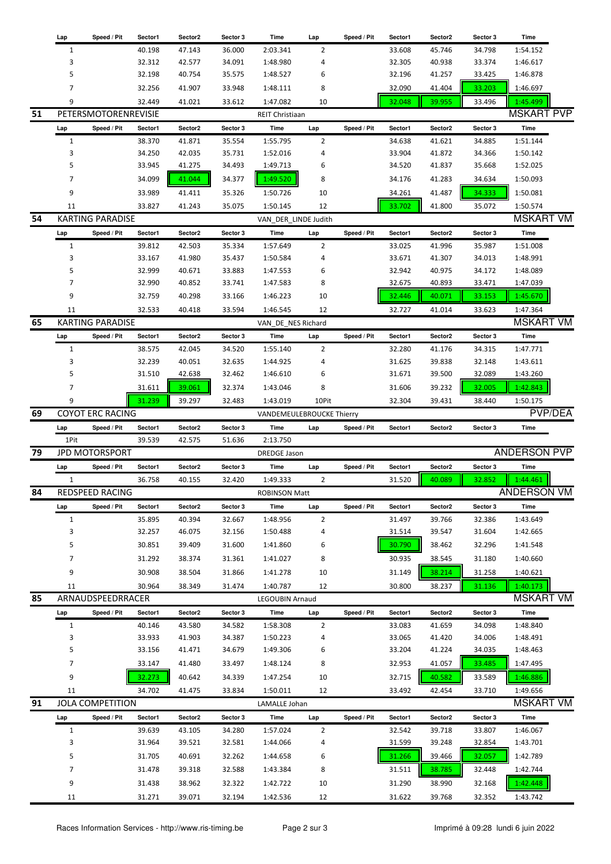|    | Lap          | Speed / Pit             | Sector1 | Sector <sub>2</sub> | Sector 3 | Time                      | Lap            | Speed / Pit | Sector1 | Sector2 | Sector 3 | Time                |
|----|--------------|-------------------------|---------|---------------------|----------|---------------------------|----------------|-------------|---------|---------|----------|---------------------|
|    | 1            |                         | 40.198  | 47.143              | 36.000   | 2:03.341                  | 2              |             | 33.608  | 45.746  | 34.798   | 1:54.152            |
|    | 3            |                         | 32.312  | 42.577              | 34.091   | 1:48.980                  | 4              |             | 32.305  | 40.938  | 33.374   | 1:46.617            |
|    | 5            |                         | 32.198  | 40.754              | 35.575   | 1:48.527                  | 6              |             | 32.196  | 41.257  | 33.425   | 1:46.878            |
|    |              |                         |         |                     |          |                           |                |             |         |         |          |                     |
|    | 7            |                         | 32.256  | 41.907              | 33.948   | 1:48.111                  | 8              |             | 32.090  | 41.404  | 33.203   | 1:46.697            |
|    | 9            |                         | 32.449  | 41.021              | 33.612   | 1:47.082                  | 10             |             | 32.048  | 39.955  | 33.496   | 1:45.499            |
| 51 |              | PETERSMOTORENREVISIE    |         |                     |          | REIT Christiaan           |                |             |         |         |          | <b>MSKART PVP</b>   |
|    | Lap          | Speed / Pit             | Sector1 | Sector2             | Sector 3 | Time                      | Lap            | Speed / Pit | Sector1 | Sector2 | Sector 3 | Time                |
|    | 1            |                         | 38.370  | 41.871              | 35.554   | 1:55.795                  | 2              |             | 34.638  | 41.621  | 34.885   | 1:51.144            |
|    | 3            |                         | 34.250  | 42.035              | 35.731   | 1:52.016                  | 4              |             | 33.904  | 41.872  | 34.366   | 1:50.142            |
|    | 5            |                         | 33.945  | 41.275              | 34.493   | 1:49.713                  | 6              |             | 34.520  | 41.837  | 35.668   | 1:52.025            |
|    |              |                         |         |                     |          |                           |                |             |         |         |          |                     |
|    | 7            |                         | 34.099  | 41.044              | 34.377   | 1:49.520                  | 8              |             | 34.176  | 41.283  | 34.634   | 1:50.093            |
|    | 9            |                         | 33.989  | 41.411              | 35.326   | 1:50.726                  | 10             |             | 34.261  | 41.487  | 34.333   | 1:50.081            |
|    | 11           |                         | 33.827  | 41.243              | 35.075   | 1:50.145                  | 12             |             | 33.702  | 41.800  | 35.072   | 1:50.574            |
| 54 |              | <b>KARTING PARADISE</b> |         |                     |          | VAN_DER_LINDE Judith      |                |             |         |         |          | <b>MSKART VM</b>    |
|    | Lap          | Speed / Pit             | Sector1 | Sector2             | Sector 3 | Time                      | Lap            | Speed / Pit | Sector1 | Sector2 | Sector 3 | Time                |
|    | $\mathbf{1}$ |                         | 39.812  | 42.503              | 35.334   | 1:57.649                  | 2              |             | 33.025  | 41.996  | 35.987   | 1:51.008            |
|    | 3            |                         | 33.167  | 41.980              | 35.437   | 1:50.584                  | 4              |             | 33.671  | 41.307  | 34.013   | 1:48.991            |
|    | 5            |                         | 32.999  | 40.671              | 33.883   | 1:47.553                  | 6              |             | 32.942  | 40.975  | 34.172   | 1:48.089            |
|    | 7            |                         | 32.990  | 40.852              |          |                           | 8              |             |         |         |          |                     |
|    |              |                         |         |                     | 33.741   | 1:47.583                  |                |             | 32.675  | 40.893  | 33.471   | 1:47.039            |
|    | 9            |                         | 32.759  | 40.298              | 33.166   | 1:46.223                  | 10             |             | 32.446  | 40.071  | 33.153   | 1:45.670            |
|    | 11           |                         | 32.533  | 40.418              | 33.594   | 1:46.545                  | 12             |             | 32.727  | 41.014  | 33.623   | 1:47.364            |
| 65 |              | <b>KARTING PARADISE</b> |         |                     |          | VAN DE NES Richard        |                |             |         |         |          | <b>MSKART VM</b>    |
|    | Lap          | Speed / Pit             | Sector1 | Sector2             | Sector 3 | Time                      | Lap            | Speed / Pit | Sector1 | Sector2 | Sector 3 | Time                |
|    | 1            |                         | 38.575  | 42.045              | 34.520   | 1:55.140                  | 2              |             | 32.280  | 41.176  | 34.315   | 1:47.771            |
|    | 3            |                         | 32.239  | 40.051              | 32.635   | 1:44.925                  | 4              |             | 31.625  | 39.838  | 32.148   | 1:43.611            |
|    | 5            |                         | 31.510  | 42.638              | 32.462   | 1:46.610                  | 6              |             | 31.671  | 39.500  | 32.089   | 1:43.260            |
|    |              |                         |         |                     |          |                           |                |             |         |         |          |                     |
|    | 7            |                         | 31.611  | 39.061              | 32.374   | 1:43.046                  | 8              |             | 31.606  | 39.232  | 32.005   | 1:42.843            |
|    | 9            |                         | 31.239  | 39.297              | 32.483   | 1:43.019                  | 10Pit          |             | 32.304  | 39.431  | 38.440   | 1:50.175            |
| 69 |              | <b>COYOT ERC RACING</b> |         |                     |          | VANDEMEULEBROUCKE Thierry |                |             |         |         |          | <b>PVP/DEA</b>      |
|    | Lap          | Speed / Pit             | Sector1 | Sector2             | Sector 3 | Time                      |                |             |         | Sector2 | Sector 3 | Time                |
|    |              |                         |         |                     |          |                           | Lap            | Speed / Pit | Sector1 |         |          |                     |
|    | 1Pit         |                         | 39.539  | 42.575              | 51.636   | 2:13.750                  |                |             |         |         |          |                     |
| 79 |              | JPD MOTORSPORT          |         |                     |          | <b>DREDGE Jason</b>       |                |             |         |         |          | <b>ANDERSON PVP</b> |
|    |              | Speed / Pit             | Sector1 | Sector2             | Sector 3 | Time                      |                | Speed / Pit | Sector1 | Sector2 | Sector 3 | Time                |
|    | Lap          |                         |         |                     |          |                           | Lap            |             |         |         |          |                     |
|    | 1            |                         | 36.758  | 40.155              | 32.420   | 1:49.333                  | 2              |             | 31.520  | 40.089  | 32.852   | 1:44.461            |
| 84 |              | REDSPEED RACING         |         |                     |          | ROBINSON Matt             |                |             |         |         |          | <b>ANDERSON VM</b>  |
|    | Lap          | Speed / Pit             | Sector1 | Sector2             | Sector 3 | Time                      | Lap            | Speed / Pit | Sector1 | Sector2 | Sector 3 | Time                |
|    | $\mathbf{1}$ |                         | 35.895  | 40.394              | 32.667   | 1:48.956                  | $\overline{2}$ |             | 31.497  | 39.766  | 32.386   | 1:43.649            |
|    | 3            |                         | 32.257  | 46.075              | 32.156   | 1:50.488                  | 4              |             | 31.514  | 39.547  | 31.604   | 1:42.665            |
|    | 5            |                         | 30.851  | 39.409              | 31.600   | 1:41.860                  | 6              |             | 30.790  | 38.462  | 32.296   | 1:41.548            |
|    | 7            |                         | 31.292  | 38.374              | 31.361   | 1:41.027                  | 8              |             | 30.935  | 38.545  | 31.180   | 1:40.660            |
|    |              |                         |         |                     |          |                           |                |             |         |         |          |                     |
|    | 9            |                         | 30.908  | 38.504              | 31.866   | 1:41.278                  | 10             |             | 31.149  | 38.214  | 31.258   | 1:40.621            |
|    | 11           |                         | 30.964  | 38.349              | 31.474   | 1:40.787                  | 12             |             | 30.800  | 38.237  | 31.136   | 1:40.173            |
| 85 |              | ARNAUDSPEEDRRACER       |         |                     |          | LEGOUBIN Arnaud           |                |             |         |         |          | <b>MSKART VM</b>    |
|    | Lap          | Speed / Pit             | Sector1 | Sector2             | Sector 3 | Time                      | Lap            | Speed / Pit | Sector1 | Sector2 | Sector 3 | Time                |
|    | 1            |                         | 40.146  | 43.580              | 34.582   | 1:58.308                  | $\overline{2}$ |             | 33.083  | 41.659  | 34.098   | 1:48.840            |
|    | 3            |                         | 33.933  | 41.903              | 34.387   | 1:50.223                  | 4              |             | 33.065  | 41.420  | 34.006   | 1:48.491            |
|    | 5            |                         | 33.156  | 41.471              | 34.679   | 1:49.306                  | 6              |             | 33.204  | 41.224  | 34.035   | 1:48.463            |
|    | 7            |                         | 33.147  | 41.480              | 33.497   | 1:48.124                  | 8              |             | 32.953  | 41.057  | 33.485   | 1:47.495            |
|    | 9            |                         | 32.273  | 40.642              | 34.339   | 1:47.254                  | 10             |             |         | 40.582  |          | 1:46.886            |
|    |              |                         |         |                     |          |                           |                |             | 32.715  |         | 33.589   |                     |
|    | 11           |                         | 34.702  | 41.475              | 33.834   | 1:50.011                  | 12             |             | 33.492  | 42.454  | 33.710   | 1:49.656            |
| 91 |              | <b>JOLA COMPETITION</b> |         |                     |          | LAMALLE Johan             |                |             |         |         |          | <b>MSKART VM</b>    |
|    | Lap          | Speed / Pit             | Sector1 | Sector2             | Sector 3 | Time                      | Lap            | Speed / Pit | Sector1 | Sector2 | Sector 3 | Time                |
|    | $\mathbf{1}$ |                         | 39.639  | 43.105              | 34.280   | 1:57.024                  | $\overline{2}$ |             | 32.542  | 39.718  | 33.807   | 1:46.067            |
|    | 3            |                         | 31.964  | 39.521              | 32.581   | 1:44.066                  | 4              |             | 31.599  | 39.248  | 32.854   | 1:43.701            |
|    | 5            |                         | 31.705  | 40.691              | 32.262   | 1:44.658                  | 6              |             | 31.266  | 39.466  | 32.057   | 1:42.789            |
|    | 7            |                         | 31.478  | 39.318              | 32.588   | 1:43.384                  | 8              |             | 31.511  | 38.785  | 32.448   | 1:42.744            |
|    | 9            |                         | 31.438  | 38.962              | 32.322   | 1:42.722                  | 10             |             | 31.290  | 38.990  | 32.168   | 1:42.448            |
|    | 11           |                         | 31.271  | 39.071              | 32.194   | 1:42.536                  | 12             |             | 31.622  | 39.768  | 32.352   | 1:43.742            |